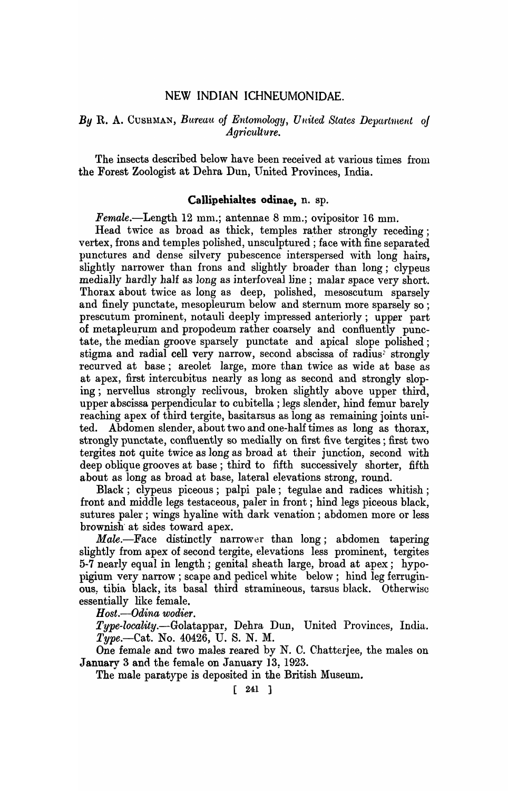# NEW INDIAN ICHNEUMONIDAE.

# **By R. A. CUSHMAN, Bureau of Entomology, United States Department of** *Agriculture.*

The insects described below have been received at various times from the Forest Zoologist at Dehra Dun, United Provinces, India.

#### Callipehialtes odinae, n. sp.

Female.-Length 12 mm.; antennae 8 mm.; ovipositor 16 mm.

Head twice as broad as thick, temples rather strongly receding; vertex, frons and temples polished, unsculptured ; face with fine separated punctures and dense silvery pubescence interspersed with long hairs, slightly narrower than frons and slightly broader than long; clypeus medially hardly half as long as interfoveal line; malar space very short. Thorax about twice as long as deep, polished, mesoscutum sparsely and finely punctate, mesopleurum below and sternum more sparsely so; prescutum prominent, notauli deeply impressed anteriorly; upper part of metapleurum and propodeum rather coarsely and confluently punctate, the median groove sparsely punctate and apical slope polished; stigma and radial cell very narrow, second abscissa of radius. strongly l'ecurved at base; areolet large, more than twice as wide at base as at apex, first intercubitus nearly as long as second and strongly sloping; nervellus strongly reclivous, broken slightly above upper third, upper abscissa perpendicular to cubitella ; legs slender, hind femur barely reaching apex of third tergite, basitarsus as long as remaining joints united. Abdomen slender, about two and one-half times as long as thorax, strongly punctate, confluently so medially on first five tergites; first two tergites not quite twice as long as broad at their junction, second with deep oblique grooves at base; third to fifth successively shorter, fifth about as long as broad at base, lateral elevations strong, round.

Black; clypeus piceous; palpi pale; tegulae and radices whitish; front and middle legs testaceous, paler in front; hind legs piceous black, sutures paler; wings hyaline with dark venation; abdomen more or less brownish" at sides toward apex.

Male.--Face distinctly narrower than long; abdomen tapering slightly from apex of second tergite, elevations less prominent, tergites 5-7 nearly equal in length; genital sheath large, broad at apex; hypol)igium very narrow; scape and pedicel white below; hind leg ferruginous: tibia black, its basal third stramineous, tarsus black. Otherwise essentially like female.

*Host.-Odina wodier.* 

*Type-locality.-Golatappar,* Dehra Dun, United Provinces, India. *Type.-Cat.* No. 40426, U. S. N. M.

One female and two males reared by N. C. Chatterjee, the males on Januarv 3 and the female on Januarv 13. 1923.

The male paratype is deposited in the British Museum.

 $[ 241 ]$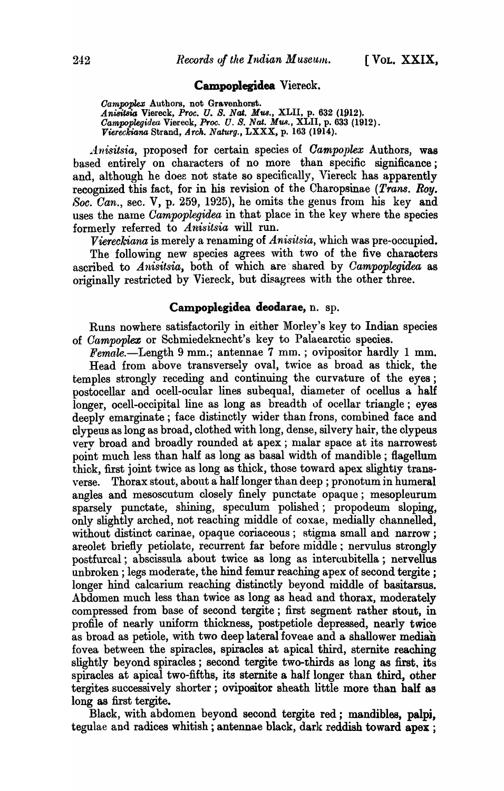### Campoplegidea Viereck.

Oampoplex Authors, not Gravenhorst. *AniBitsia* Viereck, *Proc. U.* 8. *Nat. Mw.,* XLII, p. 632 (1912). *Oampoplegidea* Viereck, *Proc. U.* 8. *Nat. Mus.,* XLII, p. 633 (1912). *Viereckiana Strand, Arch. Naturg., LXXX, p. 163 (1914).* 

*Anisitsia, proposed for certain species of <i>Campoplex Authors*, was based entirely on characters of no more than specific significance; and, although he does not state so specifically, Viereck has apparently recognized this fact, for in his revision of the Charopsinae *(Trans. Roy.* Soc. *Can.*, sec. V, p. 259, 1925), he omits the genus from his key and uses the name *Campoplegidea* in that place in the key where the species formerly referred to *Anisitsia* will run.

*Viereckiana* is merely a renaming of *Anisitsia*, which was pre-occupied. The following new species agrees with two of the five characters ascribed to Anisitsia, both of which are shared by *Campoplegidea* as originally restricted by Viereck, but disagrees with the other three.

## Campoplegidea deodarae, n. sp.

Runs nowhere satisfactorily in either Morley's key to Indian species of *Campoplez* or Schmiedeknecht's key to Palaearctic species.

 $Female. - Length 9 mm.; antenna 7 mm.; ovipositor hardly 1 mm.$ Head from above transversely oval, twice as broad as thick, the temples strongly receding and continuing the curvature of the eyes; postocellar and ocell-ocular lines subequal, diameter of ocellus a half longer, ocell-occipital line as long as breadth of ocellar triangle; eyes deeply emarginate; face distinctly wider than frons, combined face and clypeus as long as broad, clothed with long, dense, silvery hair, the clypeus very broad and broadly rounded at apex; malar space at its narrowest point much less than half as long as basal width of mandible; flagellum thick, first joint twice as long as thick, those toward apex slightly transverse. Thorax stout, about a half longer than deep ; pronotum in humeral angles and mesoscutum closely finely punctate opaque; mesopleurum sparsely punctate, shining, speculum polished; propodeum sloping, only slightly arched, not reaching middle of coxae, medially channelled, without distinct carinae, opaque coriaceous; stigma small and narrow; areolet briefly petiolate, recurrent far before middle; nervulus strongly postfurcal; abscissula about twice as long as intercubitella; nervellus unbroken; legs moderate, the hind femur reaching apex of second tergite ; longer hind calcarium reaching distinctly beyond middle of basitarsus. Abdomen much less than twice as long as head and thorax, moderately compressed from base of second tergite; first segment rather stout, in profile of nearly uniform thickness, postpetiole depressed, nearly twice as broad as petiole, with two deep lateral foveae and a shallower median fovea between the spiracles, spiracles at apical third, sternite reaching slightly beyond spiracles; second tergite two-thirds as long as first, its spiracles at apical two-fifths, its sternite a half longer than third, other tergites successively shorter; ovipositor sheath little more than half as long as first tergite.

Black, with abdomen beyond second tergite red; mandibles, palpj, tegulae and radices whitish; antennae black, dark reddish toward apex ;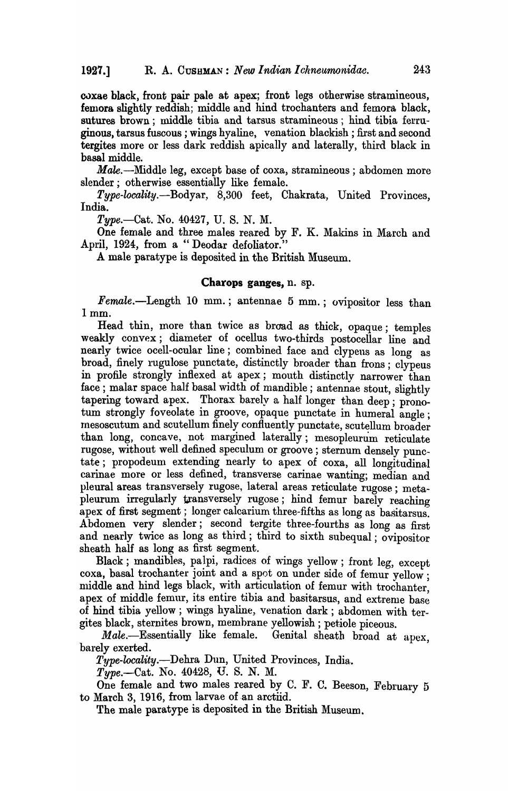coxae black, front pair pale at apex; front legs otherwise stramineous, femora slightly reddish; middle and hind trochanters and femora black, sutures brown; middle tibia and tarsus stramineous; hind tibia ferruginous, tarsus fuscous ; wings hyaline, venation blackish; first and second tergites more or less dark reddish apically and laterally, third black in basal middle.

Male.-::Middle leg, except base of coxa, stramineous; abdomen more slender; otherwise essentially like female.

*Type-locality.-Bodyar,* 8,300 feet, Chakrata, United Provinces, India.

*Type.-Cat.* No. 40427, U. S. N. M.

One female and three males reared by F. K. Makins in March and April, 1924, from a "Deodar defoliator."

A male paratype is deposited in the British Museum.

#### Charops ganges, n. sp.

 $Female. - Length 10 mm.; antenna 5 mm.; ovipositor less than$ Imm.

Head thin, more than twice as broad as thick, opaque; temples weakly convex; diameter of ocellus two-thirds postocellar line and nearly twice ocell-ocular line; combined face and clypens as long as broad, finely rugulose punctate, distinctly broader than frons; clypeus in profile strongly inflexed at apex; mouth distinctly narrower than face; malar space half basal width of mandible; antennae stout, slightly tapering toward apex. Thorax barely a half longer than deep; pronotum strongly foveolate in groove, opaque punctate in humeral angle; Inesoscutum and scutellum finely confluently punctate, scutellum broader than long, concave, not margined laterally; mesopleurum reticulate rugose, without well defined speculum or groove; sternum densely punctate; propodeum extending nearly to apex of coxa, all longitudinal carinae more or less defined, transverse carinae wanting; median and pleural areas transversely rugose, lateral areas reticulate rugose; metapleurum irregularly transversely rugose; hind femur barely reaching apex of first segment; longer calcarium three-fifths as long as basitarsus. Abdomen very slender; second tergite three-fourths as long as first and nearly twice as long as third; third to sixth subequal; ovipositor sheath half as long as first segment.

Black; mandibles, palpi, radices of wings yellow; front leg, except coxa, basal trochanter joint and a spot on under side of femur yellow; middle and hind legs black, with articulation of femur with trochanter, apex of middle femur, its entire tibia and basitarsus, and extreme base of hind tibia yellow; wings hyaline, venation dark; abdomen with tergites black, sternites brown, membrane yellowish; petiole piceous.

Male.-Essentially like female. Genital sheath broad at apex, barely exerted.

*Type-locality.-Dehra* Dun, United Provinces, India ..

*Type.-Cat.* No. 40428, U. S. N. M.

One female and two males reared by C. F. C. Beeson, February 5 to March 3, 1916, from larvae of an arctiid.

The male paratype is deposited in the British Museum.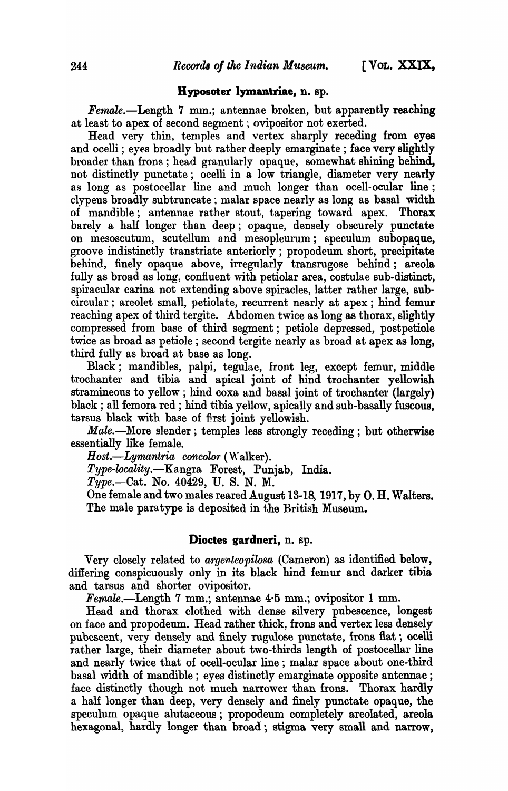### Hyposoter lymantriae, n. sp.

Female.-Length 7 mm.; antennae broken, but apparently reaching at least to apex of second segment; ovipositor not exerted.

Head very thin, temples and vertex sharply receding from eyes and ocelli; eyes broadly but rather deeply emarginate ; face very slightly broader than frons; head granularly opaque, somewhat shining behind, not distinctly punctate; ocelli in a low triangle, diameter very nearly as long as postocellar line and much longer than ocell-ocular line; clypeus broadly subtruncate ; malar space nearly as long as basal width of mandible; antennae rather stout, tapering toward apex. Thorax barely a half longer than deep; opaque, densely obscurely punctate on mesoscutum, scutellum and mesopleurum; speculum subopaque, groove indistinctly transtriate anteriorly; propodeum short, precipitate behind, finely opaque above, irregularly transrugose behind; areola fully as broad as long, confluent with petiolar area, costulae sub-distinct, spiracular carina not extending above spiracles, latter rather large, subcircular; areolet small, petiolate, recurrent nearly at apex; hind femur reaching apex of third tergite. Abdomen twice as long as thorax, slightly compressed from base of third segment; petiole depressed, postpetiole twice as broad as petiole; second tergite nearly as broad at apex as long, third fully as broad at base as long.

Black; mandibles, palpi, tegulae, front leg, except femur, middle trochanter and tibia and apical joint of hind trochanter yellowish stramineous to yellow; hind coxa and basal joint of trochanter (largely) black; all femora red; hind tibia yellow, apically and sub-basally fuscous, tarsus black with base of first joint yellowish.

*Male.*—More slender; temples less strongly receding; but otherwise essentially like female.

Host.-*Lymantria concolor* (Walker).

*Type-locality.-Kangra* Forest, Punjab, India.

*Type.-Cat.* No. 40429, U. S. N. M.

One female and two males reared August 13-18, 1917, by O. H. Walters. The male paratype is deposited in the British Museum.

### Dioctes gardneri, n. sp.

Very closely related to *argenteopilosa* (Cameron) as identified below, difiering conspicuously only in its black hind femur and darker tibia and tarsus and shorter ovipositor.

Fernale.-Length 7 mm.; antennae 4·5 mm.; ovipositor 1 mm.

Head and thorax clothed with dense silvery pubescence, longest on face and propodeum. Head rather thick, frons and vertex less densely pubescent, very densely and finely rugulose punctate, frons flat; ocelli rather large, their diameter about two-thirds length of postocellar line and nearly twice that of ocell-ocular line; malar space about one-third basal width of mandible; eyes distinctly emarginate opposite antennae; face distinctly though not much narrower than frons. Thorax hardly a half longer than deep, very densely and finely punctate opaque, the speculum opaque alutaceous; propodeum completely areolated, areola hexagonal, hardly longer than broad; stigma very small and narrow,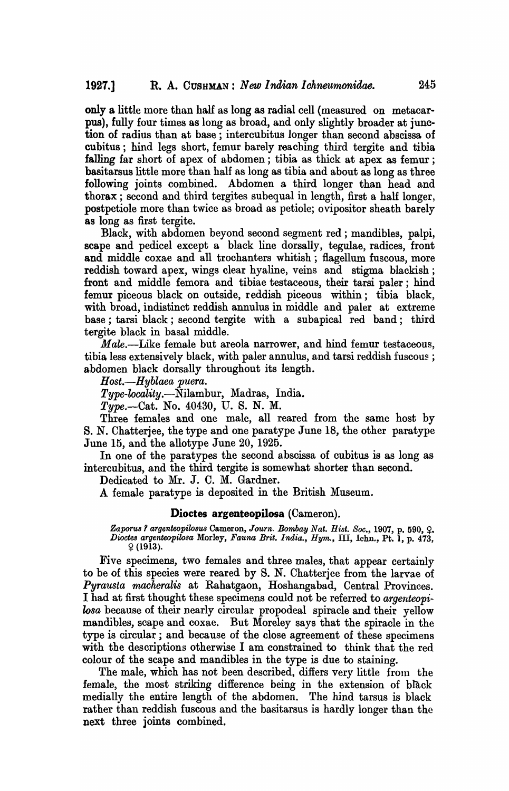only a little more than half as long as radial cell (measured on metacarpus), fully four times as long as broad, and only slightly broader at junction of radius than at base; intercubitus longer than second abscissa of cubitus; hind legs short, femur barely reaching third tergite and tibia falling far short of apex of abdomen; tibia as thick at apex as femur; basitarsus little more than half as long as tibia and about as long as three following joints combined. Abdomen a third longer than head and thorax; second and third tergites subequal in length, first a half longer, postpetiole more than twice as broad as petiole; ovipositor sheath barely as long as first tergite.

Black, with abdomen beyond second segment red; mandibles, palpi, scape and pedicel except a black line dorsally, tegulae, radices, front and middle coxae and all trochanters whitish; flagellum fuscous, more reddish toward apex, wings clear hyaline, veins and stigma blackish; front and middle femora and tibiae testaceous, their tarsi paler; hind femur piceous black on outside, reddish piceous Within; tibia black, with broad, indistinct reddish annulus in middle and paler at extreme base ; tarsi black ; second tergite with a subapical red band; third tergite black in basal middle.

*Male.*—Like female but areola narrower, and hind femur testaceous, tibia less extensively black, with paler annulus, and tarsi reddish fuscous ; abdomen black dorsally throughout its length.

*H ost.-Hyblaea puera.* 

*Type-locality.-Nilambur,* Madras, India.

*Type.*--Cat. No. 40430, U.S. N.M.

Three females and one male, all reared from the same host by s. N. Chatterjee, the type and one paratype June 18, the other paratype June 15, and the allotype June 20, 1925.

In one of the paratypes the second abscissa of cubitus is as long as intercubitus, and the third tergite is somewhat shorter than second.

Dedicated to Mr. J. C. M. Gardner.

A female paratype is deposited in the British Museum.

#### Dioctes argenteopilosa (Cameron).

Zaporus ? argenteopilosus Cameron, *Journ. Bombay Nat. Hist. Soc.*, 1907, p. 590, Q. *Dioctes argenteopilosa* Morley, *Fauna Brit. India., Hym.,* III, Ichn., Pt. 1, p. 473,  $9(1913).$ 

Five specimens, two females and three males, that appear certainly to be of this species were reared by S. N. Chatterjee from the larvae of *Pyrausta macheralis* at Rahatgaon, Hoshangabad, Central Provinces. I had at first thought these specimens could not be referred to *argenteopilosa* because of their nearly circular propodeal spiracle and their yellow mandibles, scape and coxae. But Moreley says that the spiracle in the type is circular; and because of the close agreement of these specimens with the descriptions otherwise I am constrained to think that the red colour of the scape and mandibles in the type is due to staining.

The male, which has not been described, differs very little from the female, the most striking difference being in the extension of black medially the entire length of the abdomen. The hind tarsus is black rather than reddish fuscous and the basitarsus is hardly longer than the next three joints combined.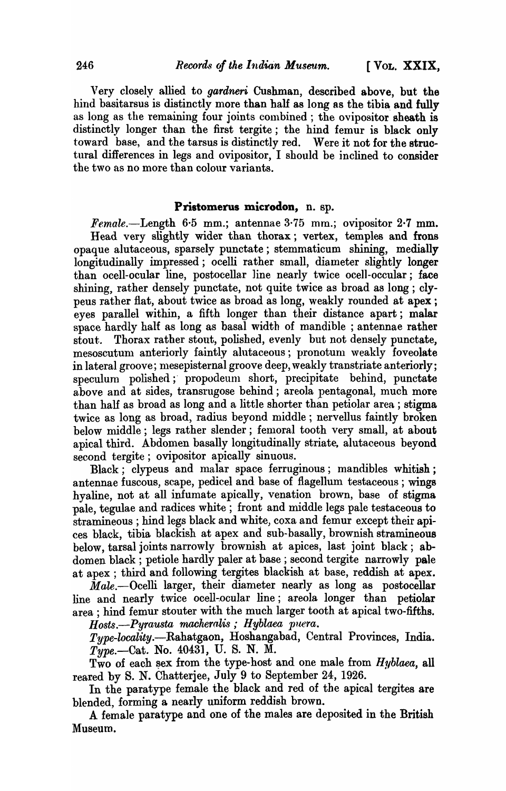Very closely allied to *gardneri* Cushman, described above, but the hind basitarsus is distinctly more than half as long as the tibia and fully as long as the remaining four joints combined; the ovipositor sheath is distinctly longer than the first tergite; the hind femur is black only toward base, and the tarsus is distinctly red. Were it not for the structural differences in legs and ovipositor, I should be inclined to consider the two as no more than colour variants.

# Pristomerus microdon, n. sp.

*Female.*--Length 6.5 mm.; antennae 3.75 mm.; ovipositor 2.7 mm. Head very slightly wider than thorax; vertex, temples and frons opaque alutaceous, sparsely punctate; stemmaticum shining, medially longitudinally impressed; ocelli rather small, diameter slightly longer than ocell-ocular line, postocellar line nearly twice ocell-occular; face shining, rather densely punctate, not quite twice as broad as long; clypeus rather flat, about twice as broad as long, weakly rounded at apex; eyes parallel within, a fifth longer than their distance apart; malar space hardly half as long as basal width of mandible ; antennae rather stout. Thorax rather stout, polished, evenly but not densely punctate, mesoscutum anteriorly faintly alutaceous; pronotum weakly foveolate in lateral groove; mesepisternal groove deep, weakly transtriate anteriorly; speculum polished; propodeum short, precipitate behind, punctate above and at sides, transrugose behind; areola pentagonal, much more than half as broad as long and a little shorter than petiolar area; stigma twice as long as broad, radius beyond middle ; nervellus faintly broken below middle; legs rather slender; femoral tooth very small, at about apical third. Abdomen basally longitudinally striate, alutaceous beyond second tergite; ovipositor apically sinuous.

Black; clypeus and malar space ferruginous; mandibles whitish; antennae fuscous, scape, pedicel and base of flagellum testaceous; wings hyaline, not at all infumate apically, venation brown, base of stigma pale, tegulae and radices white; front and middle legs pale testaceous to stramineous ; hind legs black and white, coxa and femur except their apices black, tibia hlackish at apex and sub-basally, brownish stramineous below, tarsal joints narrowly brownish at apices, last joint black; abdomen black; petiole hardly paler at base; second tergite narrowly pale at apex; third and following tergites blackish at base, reddish at apex.

 $\tilde{M}$ ale. $-$ Ocelli larger, their diameter nearly as long as postocellar line and nearly twice ocell-ocular line; areola longer than petiolar area; hind femur stouter with the much larger tooth at apical two-fifths.

*Hosts.*—Pyrausta macheralis; Hyblaea puera.

*Type-locality.-Rahatgaon,* Hoshangabad, Central Provinces, India. *Type.-Cat.* No. 4043], U. S. N. M.

Two of each sex from the type-host and one male from *Hyblaea*, all reared by S. N. Chatterjee, July 9 to September 24, 1926.

In the paratype female ihe black and red of the apical tergites are blended, forming a nearly uniform reddish brown.

A female paratype and one of the males are deposited in the British Museum.